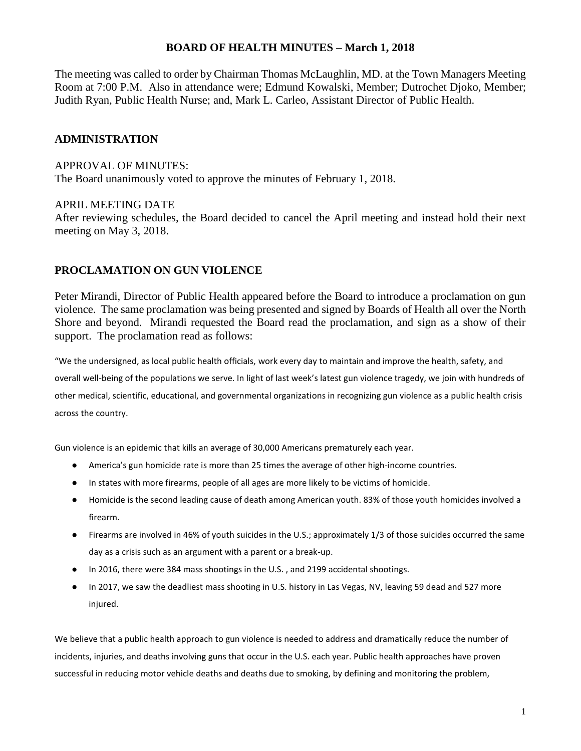#### **BOARD OF HEALTH MINUTES – March 1, 2018**

The meeting was called to order by Chairman Thomas McLaughlin, MD. at the Town Managers Meeting Room at 7:00 P.M. Also in attendance were; Edmund Kowalski, Member; Dutrochet Djoko, Member; Judith Ryan, Public Health Nurse; and, Mark L. Carleo, Assistant Director of Public Health.

#### **ADMINISTRATION**

#### APPROVAL OF MINUTES:

The Board unanimously voted to approve the minutes of February 1, 2018.

#### APRIL MEETING DATE

After reviewing schedules, the Board decided to cancel the April meeting and instead hold their next meeting on May 3, 2018.

#### **PROCLAMATION ON GUN VIOLENCE**

Peter Mirandi, Director of Public Health appeared before the Board to introduce a proclamation on gun violence. The same proclamation was being presented and signed by Boards of Health all over the North Shore and beyond. Mirandi requested the Board read the proclamation, and sign as a show of their support. The proclamation read as follows:

"We the undersigned, as local public health officials, work every day to maintain and improve the health, safety, and overall well-being of the populations we serve. In light of last week's latest gun violence tragedy, we join with hundreds of other medical, scientific, educational, and governmental organizations in recognizing gun violence as a public health crisis across the country.

Gun violence is an epidemic that kills an average of 30,000 Americans prematurely each year.

- America's gun homicide rate is more than 25 times the average of other high-income countries.
- In states with more firearms, people of all ages are more likely to be victims of homicide.
- Homicide is the second leading cause of death among American youth. 83% of those youth homicides involved a firearm.
- Firearms are involved in 46% of youth suicides in the U.S.; approximately 1/3 of those suicides occurred the same day as a crisis such as an argument with a parent or a break-up.
- In 2016, there were 384 mass shootings in the U.S. , and 2199 accidental shootings.
- In 2017, we saw the deadliest mass shooting in U.S. history in Las Vegas, NV, leaving 59 dead and 527 more injured.

We believe that a public health approach to gun violence is needed to address and dramatically reduce the number of incidents, injuries, and deaths involving guns that occur in the U.S. each year. Public health approaches have proven successful in reducing motor vehicle deaths and deaths due to smoking, by defining and monitoring the problem,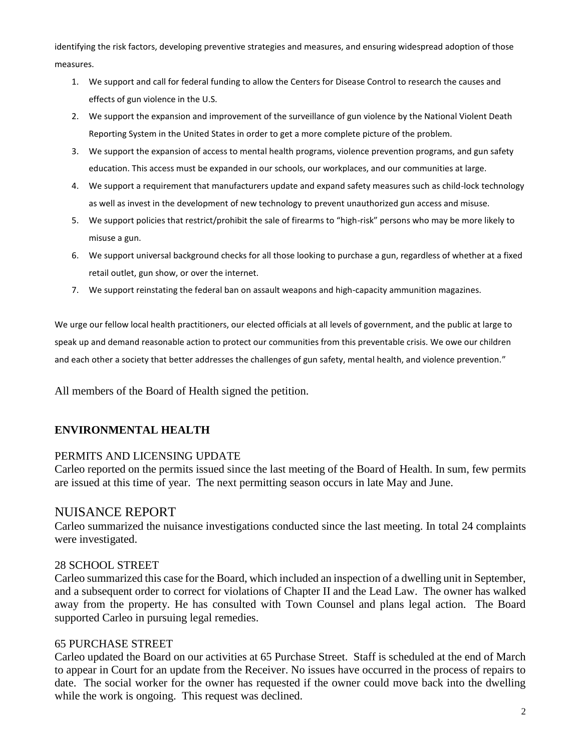identifying the risk factors, developing preventive strategies and measures, and ensuring widespread adoption of those measures.

- 1. We support and call for federal funding to allow the Centers for Disease Control to research the causes and effects of gun violence in the U.S.
- 2. We support the expansion and improvement of the surveillance of gun violence by the National Violent Death Reporting System in the United States in order to get a more complete picture of the problem.
- 3. We support the expansion of access to mental health programs, violence prevention programs, and gun safety education. This access must be expanded in our schools, our workplaces, and our communities at large.
- 4. We support a requirement that manufacturers update and expand safety measures such as child-lock technology as well as invest in the development of new technology to prevent unauthorized gun access and misuse.
- 5. We support policies that restrict/prohibit the sale of firearms to "high-risk" persons who may be more likely to misuse a gun.
- 6. We support universal background checks for all those looking to purchase a gun, regardless of whether at a fixed retail outlet, gun show, or over the internet.
- 7. We support reinstating the federal ban on assault weapons and high-capacity ammunition magazines.

We urge our fellow local health practitioners, our elected officials at all levels of government, and the public at large to speak up and demand reasonable action to protect our communities from this preventable crisis. We owe our children and each other a society that better addresses the challenges of gun safety, mental health, and violence prevention."

All members of the Board of Health signed the petition.

## **ENVIRONMENTAL HEALTH**

## PERMITS AND LICENSING UPDATE

Carleo reported on the permits issued since the last meeting of the Board of Health. In sum, few permits are issued at this time of year. The next permitting season occurs in late May and June.

# NUISANCE REPORT

Carleo summarized the nuisance investigations conducted since the last meeting. In total 24 complaints were investigated.

## 28 SCHOOL STREET

Carleo summarized this case for the Board, which included an inspection of a dwelling unit in September, and a subsequent order to correct for violations of Chapter II and the Lead Law. The owner has walked away from the property. He has consulted with Town Counsel and plans legal action. The Board supported Carleo in pursuing legal remedies.

## 65 PURCHASE STREET

Carleo updated the Board on our activities at 65 Purchase Street. Staff is scheduled at the end of March to appear in Court for an update from the Receiver. No issues have occurred in the process of repairs to date. The social worker for the owner has requested if the owner could move back into the dwelling while the work is ongoing. This request was declined.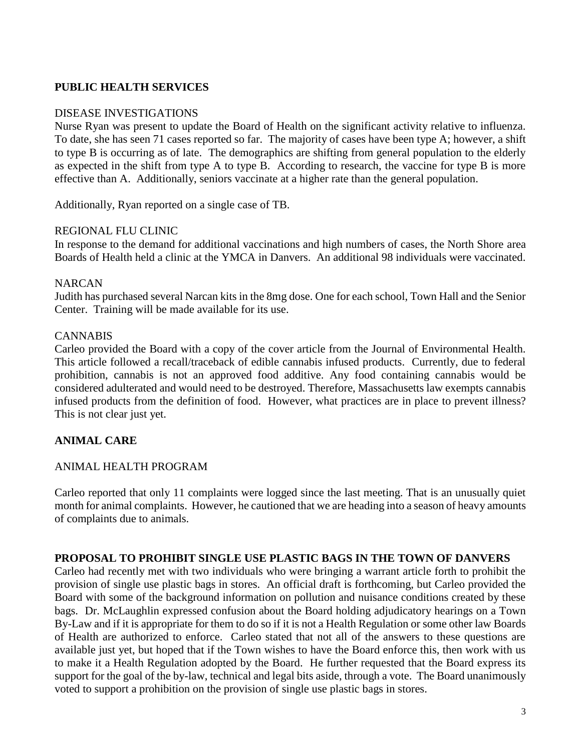## **PUBLIC HEALTH SERVICES**

#### DISEASE INVESTIGATIONS

Nurse Ryan was present to update the Board of Health on the significant activity relative to influenza. To date, she has seen 71 cases reported so far. The majority of cases have been type A; however, a shift to type B is occurring as of late. The demographics are shifting from general population to the elderly as expected in the shift from type A to type B. According to research, the vaccine for type B is more effective than A. Additionally, seniors vaccinate at a higher rate than the general population.

Additionally, Ryan reported on a single case of TB.

### REGIONAL FLU CLINIC

In response to the demand for additional vaccinations and high numbers of cases, the North Shore area Boards of Health held a clinic at the YMCA in Danvers. An additional 98 individuals were vaccinated.

### NARCAN

Judith has purchased several Narcan kits in the 8mg dose. One for each school, Town Hall and the Senior Center. Training will be made available for its use.

### **CANNABIS**

Carleo provided the Board with a copy of the cover article from the Journal of Environmental Health. This article followed a recall/traceback of edible cannabis infused products. Currently, due to federal prohibition, cannabis is not an approved food additive. Any food containing cannabis would be considered adulterated and would need to be destroyed. Therefore, Massachusetts law exempts cannabis infused products from the definition of food. However, what practices are in place to prevent illness? This is not clear just yet.

# **ANIMAL CARE**

## ANIMAL HEALTH PROGRAM

Carleo reported that only 11 complaints were logged since the last meeting. That is an unusually quiet month for animal complaints. However, he cautioned that we are heading into a season of heavy amounts of complaints due to animals.

## **PROPOSAL TO PROHIBIT SINGLE USE PLASTIC BAGS IN THE TOWN OF DANVERS**

Carleo had recently met with two individuals who were bringing a warrant article forth to prohibit the provision of single use plastic bags in stores. An official draft is forthcoming, but Carleo provided the Board with some of the background information on pollution and nuisance conditions created by these bags. Dr. McLaughlin expressed confusion about the Board holding adjudicatory hearings on a Town By-Law and if it is appropriate for them to do so if it is not a Health Regulation or some other law Boards of Health are authorized to enforce. Carleo stated that not all of the answers to these questions are available just yet, but hoped that if the Town wishes to have the Board enforce this, then work with us to make it a Health Regulation adopted by the Board. He further requested that the Board express its support for the goal of the by-law, technical and legal bits aside, through a vote. The Board unanimously voted to support a prohibition on the provision of single use plastic bags in stores.